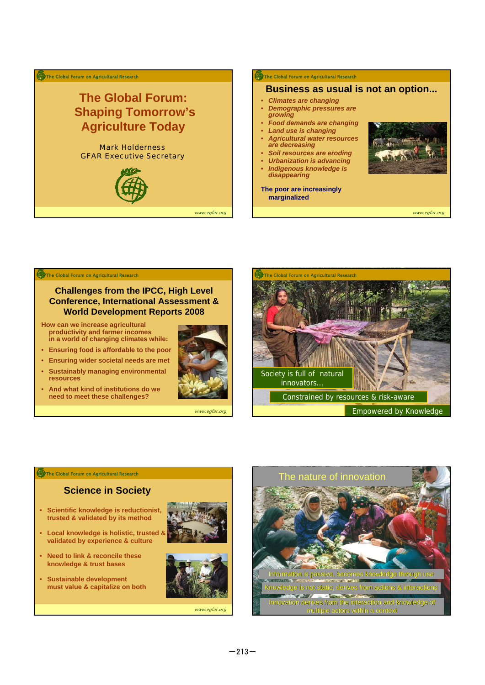



## **Challenges from the IPCC, High Level Conference, International Assessment & World Development Reports 2008**

**How can we increase agricultural productivity and farmer incomes in a world of changing climates while:**

- **Ensuring food is affordable to the poor**
- **Ensuring wider societal needs are met**
- **Sustainably managing environmental resources**
- **And what kind of institutions do we need to meet these challenges?**



www.egfar.org



**The Global Forum on Agricultural Research** 

## **Science in Society**

- **Scientific knowledge is reductionist, trusted & validated by its method**
- **Local knowledge is holistic, trusted & validated by experience & culture**
- **Need to link & reconcile these knowledge & trust bases**
- **Sustainable development must value & capitalize on both**







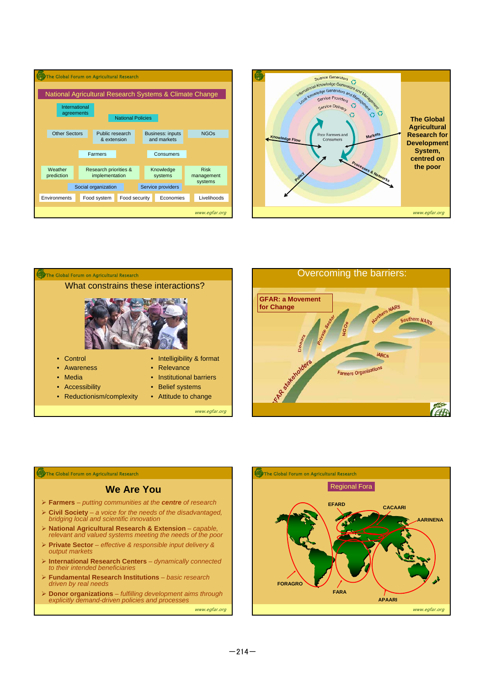







## The Global Forum on Agricultural Research

## **We Are You**

- ¾ **Farmers** *putting communities at the centre of research*
- ¾ **Civil Society** *a voice for the needs of the disadvantaged, bridging local and scientific innovation*
- ¾ **National Agricultural Research & Extension** *capable, relevant and valued systems meeting the needs of the poor*
- ¾ **Private Sector** *effective & responsible input delivery & output markets*
- ¾ **International Research Centers** *dynamically connected to their intended beneficiaries*
- ¾ **Fundamental Research Institutions** *basic research*  driven by real need
- ¾ **Donor organizations** *fulfilling development aims through explicitly demand-driven policies and processes*

www.egfar.org